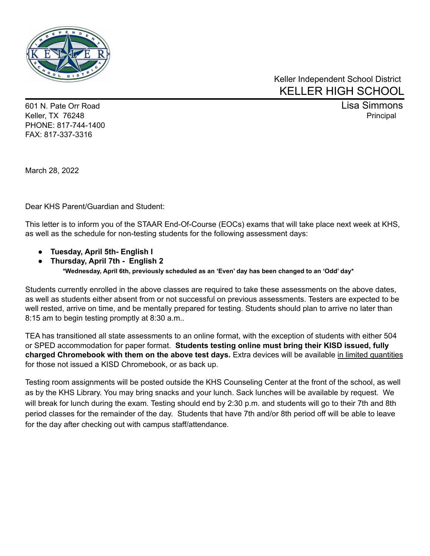

## Keller Independent School District KELLER HIGH SCHOOL

601 N. Pate Orr Road Lisa Simmons Keller, TX 76248 Principal According to the Contract of the Contract of the Contract of the Principal Principal PHONE: 817-744-1400 FAX: 817-337-3316

March 28, 2022

Dear KHS Parent/Guardian and Student:

This letter is to inform you of the STAAR End-Of-Course (EOCs) exams that will take place next week at KHS, as well as the schedule for non-testing students for the following assessment days:

- **● Tuesday, April 5th- English I**
- **● Thursday, April 7th - English 2 \*Wednesday, April 6th, previously scheduled as an 'Even' day has been changed to an 'Odd' day\***

Students currently enrolled in the above classes are required to take these assessments on the above dates, as well as students either absent from or not successful on previous assessments. Testers are expected to be well rested, arrive on time, and be mentally prepared for testing. Students should plan to arrive no later than 8:15 am to begin testing promptly at 8:30 a.m..

TEA has transitioned all state assessments to an online format, with the exception of students with either 504 or SPED accommodation for paper format. **Students testing online must bring their KISD issued, fully charged Chromebook with them on the above test days.** Extra devices will be available in limited quantities for those not issued a KISD Chromebook, or as back up.

Testing room assignments will be posted outside the KHS Counseling Center at the front of the school, as well as by the KHS Library. You may bring snacks and your lunch. Sack lunches will be available by request. We will break for lunch during the exam. Testing should end by 2:30 p.m. and students will go to their 7th and 8th period classes for the remainder of the day. Students that have 7th and/or 8th period off will be able to leave for the day after checking out with campus staff/attendance.